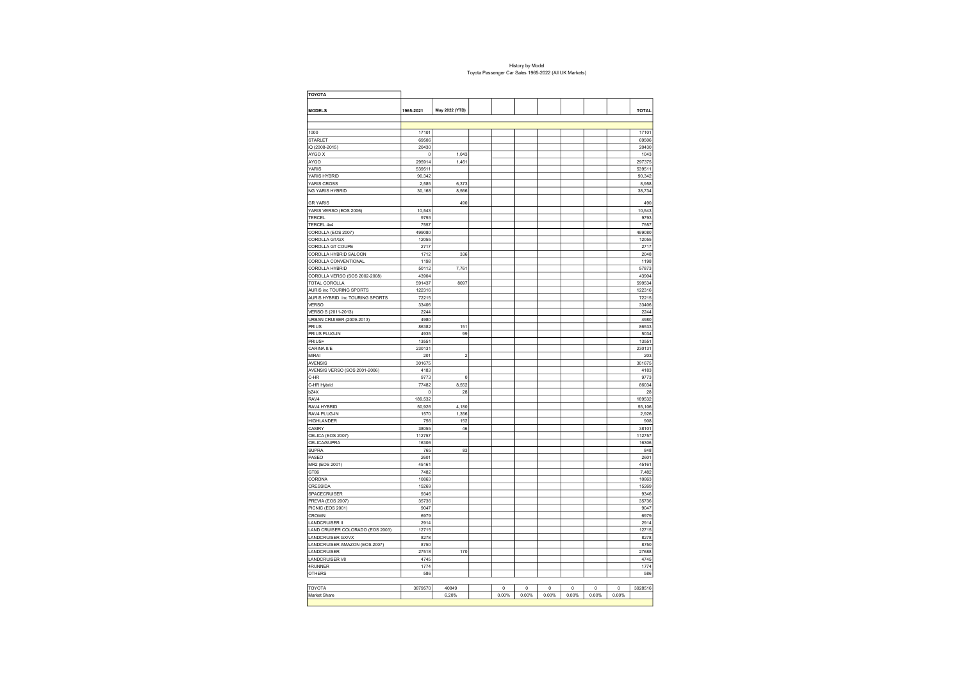## History by Model Toyota Passenger Car Sales 1965-2022 (All UK Markets)

| <b>TOYOTA</b>                    |               |                |          |       |             |             |       |             |               |
|----------------------------------|---------------|----------------|----------|-------|-------------|-------------|-------|-------------|---------------|
|                                  |               |                |          |       |             |             |       |             |               |
| <b>MODELS</b>                    | 1965-2021     | May 2022 (YTD) |          |       |             |             |       |             | <b>TOTAL</b>  |
|                                  |               |                |          |       |             |             |       |             |               |
|                                  |               |                |          |       |             |             |       |             |               |
| 1000                             | 17101         |                |          |       |             |             |       |             | 17101         |
| STARLET                          | 69506         |                |          |       |             |             |       |             | 69506         |
| iQ (2008-2015)<br>AYGO X         | 20430         | 1,043          |          |       |             |             |       |             | 20430<br>1043 |
| AYGO                             | 0<br>295914   | 1,461          |          |       |             |             |       |             | 297375        |
| YARIS                            | 539511        |                |          |       |             |             |       |             | 539511        |
| YARIS HYBRID                     | 90,342        |                |          |       |             |             |       |             | 90,342        |
| YARIS CROSS                      | 2,585         | 6,373          |          |       |             |             |       |             | 8,958         |
| NG YARIS HYBRID                  | 30,168        | 8,566          |          |       |             |             |       |             | 38,734        |
|                                  |               |                |          |       |             |             |       |             |               |
| <b>GR YARIS</b>                  |               | 490            |          |       |             |             |       |             | 490           |
| YARIS VERSO (EOS 2006)           | 10,543        |                |          |       |             |             |       |             | 10,543        |
| <b>TERCEL</b>                    | 9793          |                |          |       |             |             |       |             | 9793          |
| TERCEL 4x4                       | 7557          |                |          |       |             |             |       |             | 7557          |
| COROLLA (EOS 2007)               | 499080        |                |          |       |             |             |       |             | 499080        |
| COROLLA GT/GX                    | 12055         |                |          |       |             |             |       |             | 12055         |
| COROLLA GT COUPE                 | 2717          |                |          |       |             |             |       |             | 2717          |
| COROLLA HYBRID SALOON            | 1712          | 336            |          |       |             |             |       |             | 2048          |
| COROLLA CONVENTIONAL             | 1198          |                |          |       |             |             |       |             | 1198          |
| COROLLA HYBRID                   | 50112         | 7,761          |          |       |             |             |       |             | 57873         |
| COROLLA VERSO (SOS 2002-2008)    | 43904         |                |          |       |             |             |       |             | 43904         |
| TOTAL COROLLA                    | 591437        | 8097           |          |       |             |             |       |             | 599534        |
| AURIS inc TOURING SPORTS         | 122316        |                |          |       |             |             |       |             | 122316        |
| AURIS HYBRID inc TOURING SPORTS  | 72215         |                |          |       |             |             |       |             | 72215         |
| <b>VERSO</b>                     | 33406         |                |          |       |             |             |       |             | 33406         |
| VERSO S (2011-2013)              | 2244<br>4980  |                |          |       |             |             |       |             | 2244<br>4980  |
| URBAN CRUISER (2009-2013)        | 86382         | 151            |          |       |             |             |       |             |               |
| <b>PRIUS</b><br>PRIUS PLUG-IN    | 4935          | 99             |          |       |             |             |       |             | 86533<br>5034 |
| PRIUS+                           | 13551         |                |          |       |             |             |       |             | 13551         |
| CARINA IVE                       | 230131        |                |          |       |             |             |       |             | 230131        |
| MIRAI                            | 201           | 2              |          |       |             |             |       |             | 203           |
| <b>AVENSIS</b>                   | 301675        |                |          |       |             |             |       |             | 301675        |
| AVENSIS VERSO (SOS 2001-2006)    | 4183          |                |          |       |             |             |       |             | 4183          |
| C-HR                             | 9773          | $\mathbf{0}$   |          |       |             |             |       |             | 9773          |
| C-HR Hybrid                      | 77482         | 8,552          |          |       |             |             |       |             | 86034         |
| bZ4X                             | $\mathbf 0$   | 28             |          |       |             |             |       |             | 28            |
| RAV4                             | 189,532       |                |          |       |             |             |       |             | 189532        |
| RAV4 HYBRID                      | 50,926        | 4,180          |          |       |             |             |       |             | 55,106        |
| RAV4 PLUG-IN                     | 1570          | 1,356          |          |       |             |             |       |             | 2,926         |
| <b>HIGHLANDER</b>                | 756           | 152            |          |       |             |             |       |             | 908           |
| CAMRY                            | 38055         | 46             |          |       |             |             |       |             | 38101         |
| CELICA (EOS 2007)                | 112757        |                |          |       |             |             |       |             | 112757        |
| <b>CELICA/SUPRA</b>              | 16306         |                |          |       |             |             |       |             | 16306         |
| <b>SUPRA</b>                     | 765           | 83             |          |       |             |             |       |             | 848           |
| PASEO                            | 2601          |                |          |       |             |             |       |             | 2601          |
| MR2 (EOS 2001)                   | 45161         |                |          |       |             |             |       |             | 45161         |
| GT86                             | 7482          |                |          |       |             |             |       |             | 7,482         |
| CORONA                           | 10863         |                |          |       |             |             |       |             | 10863         |
| CRESSIDA                         | 15269<br>9346 |                |          |       |             |             |       |             | 15269<br>9346 |
| SPACECRUISER                     | 35736         |                |          |       |             |             |       |             |               |
| PREVIA (EOS 2007)                | 9047          |                |          |       |             |             |       |             | 35736<br>9047 |
| PICNIC (EOS 2001)<br>CROWN       | 6979          |                |          |       |             |             |       |             | 6979          |
| <b>LANDCRUISER II</b>            | 2914          |                |          |       |             |             |       |             | 2914          |
| LAND CRUISER COLORADO (EOS 2003) | 12715         |                |          |       |             |             |       |             | 12715         |
| LANDCRUISER GX/VX                | 8278          |                |          |       |             |             |       |             | 8278          |
| LANDCRUISER AMAZON (EOS 2007)    | 8750          |                |          |       |             |             |       |             | 8750          |
| LANDCRUISER                      | 27518         | 170            |          |       |             |             |       |             | 27688         |
| <b>LANDCRUISER V8</b>            | 4745          |                |          |       |             |             |       |             | 4745          |
| 4RUNNER                          | 1774          |                |          |       |             |             |       |             | 1774          |
| <b>OTHERS</b>                    | 586           |                |          |       |             |             |       |             | 586           |
|                                  |               |                |          |       |             |             |       |             |               |
| TOYOTA                           | 3879570       | 40849          | $\bf{0}$ | 0     | $\mathbf 0$ | $\mathsf 0$ | 0     | $\mathbf 0$ | 3928516       |
| Market Share                     |               | 6.20%          | 0.00%    | 0.00% | 0.00%       | 0.00%       | 0.00% | 0.00%       |               |
|                                  |               |                |          |       |             |             |       |             |               |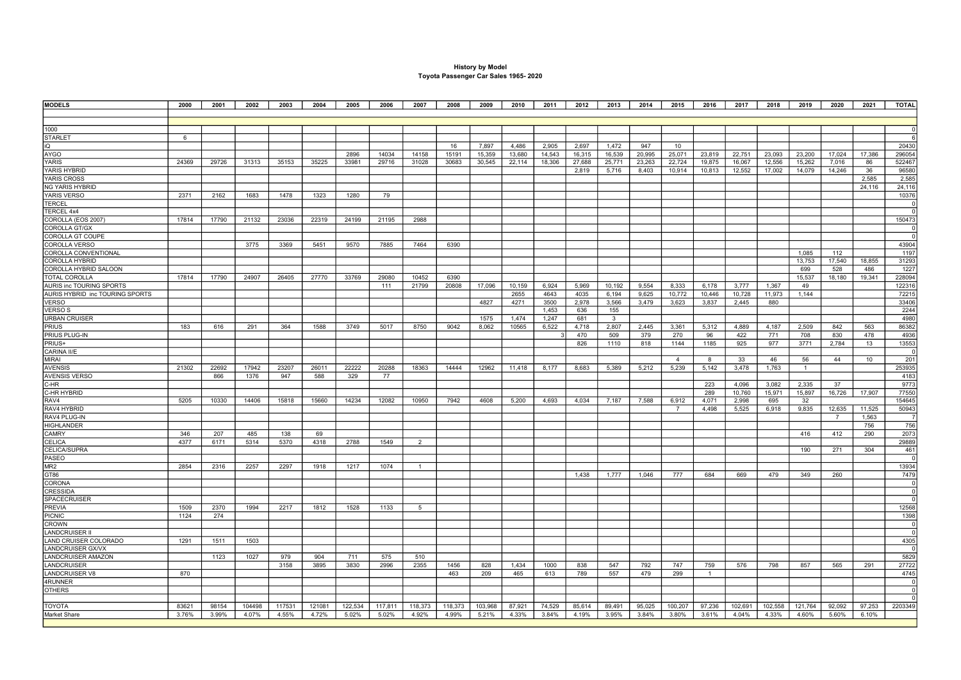## History by Model Toyota Passenger Car Sales 1965- 2020

| <b>MODELS</b>                   | 2000            | 2001  | 2002   | 2003   | 2004   | 2005    | 2006    | 2007           | 2008    | 2009          | 2010           | 2011           | 2012         | 2013                    | 2014   | 2015           | 2016           | 2017    | 2018    | 2019         | 2020           | 2021   | <b>TOTAL</b>           |
|---------------------------------|-----------------|-------|--------|--------|--------|---------|---------|----------------|---------|---------------|----------------|----------------|--------------|-------------------------|--------|----------------|----------------|---------|---------|--------------|----------------|--------|------------------------|
|                                 |                 |       |        |        |        |         |         |                |         |               |                |                |              |                         |        |                |                |         |         |              |                |        |                        |
|                                 |                 |       |        |        |        |         |         |                |         |               |                |                |              |                         |        |                |                |         |         |              |                |        |                        |
| 1000<br><b>STARLET</b>          | $6\phantom{1}6$ |       |        |        |        |         |         |                |         |               |                |                |              |                         |        |                |                |         |         |              |                |        | $\epsilon$             |
| iQ                              |                 |       |        |        |        |         |         |                | 16      | 7.897         | 4.486          | 2,905          | 2,697        | 1,472                   | 947    | 10             |                |         |         |              |                |        | 20430                  |
| AYGO                            |                 |       |        |        |        | 2896    | 14034   | 14158          | 15191   | 15,359        | 13,680         | 14,543         | 16,315       | 16,539                  | 20,995 | 25,071         | 23,819         | 22,751  | 23,093  | 23,200       | 17,024         | 17,386 | 296054                 |
| YARIS                           | 24369           | 29726 | 31313  | 35153  | 35225  | 33981   | 29716   | 31028          | 30683   | 30,545        | 22,114         | 18,306         | 27,688       | 25,771                  | 23,263 | 22,724         | 19,875         | 16,067  | 12,556  | 15,262       | 7,016          | 86     | 522467                 |
| YARIS HYBRID                    |                 |       |        |        |        |         |         |                |         |               |                |                | 2,819        | 5,716                   | 8,403  | 10,914         | 10,813         | 12,552  | 17,002  | 14,079       | 14,246         | 36     | 96580                  |
| YARIS CROSS                     |                 |       |        |        |        |         |         |                |         |               |                |                |              |                         |        |                |                |         |         |              |                | 2.585  | 2,585                  |
| NG YARIS HYBRID                 |                 |       |        |        |        |         |         |                |         |               |                |                |              |                         |        |                |                |         |         |              |                | 24,116 | 24,116                 |
| YARIS VERSO                     | 2371            | 2162  | 1683   | 1478   | 1323   | 1280    | 79      |                |         |               |                |                |              |                         |        |                |                |         |         |              |                |        | 10376                  |
| <b>TERCEL</b>                   |                 |       |        |        |        |         |         |                |         |               |                |                |              |                         |        |                |                |         |         |              |                |        |                        |
| TERCEL 4x4                      |                 |       |        |        |        |         |         |                |         |               |                |                |              |                         |        |                |                |         |         |              |                |        |                        |
| COROLLA (EOS 2007)              | 17814           | 17790 | 21132  | 23036  | 22319  | 24199   | 21195   | 2988           |         |               |                |                |              |                         |        |                |                |         |         |              |                |        | 150473                 |
| COROLLA GT/GX                   |                 |       |        |        |        |         |         |                |         |               |                |                |              |                         |        |                |                |         |         |              |                |        |                        |
| COROLLA GT COUPE                |                 |       |        |        |        |         |         |                |         |               |                |                |              |                         |        |                |                |         |         |              |                |        | - C                    |
| COROLLA VERSO                   |                 |       | 3775   | 3369   | 5451   | 9570    | 7885    | 7464           | 6390    |               |                |                |              |                         |        |                |                |         |         |              |                |        | 43904                  |
| COROLLA CONVENTIONAL            |                 |       |        |        |        |         |         |                |         |               |                |                |              |                         |        |                |                |         |         | 1,085        | 112            |        | 1197                   |
| <b>COROLLA HYBRID</b>           |                 |       |        |        |        |         |         |                |         |               |                |                |              |                         |        |                |                |         |         | 13,753       | 17,540         | 18,855 | 31293                  |
| COROLLA HYBRID SALOON           |                 |       |        |        |        |         |         |                |         |               |                |                |              |                         |        |                |                |         |         | 699          | 528            | 486    | 1227                   |
| TOTAL COROLLA                   | 17814           | 17790 | 24907  | 26405  | 27770  | 33769   | 29080   | 10452          | 6390    |               |                |                |              |                         |        |                |                |         |         | 15,537       | 18,180         | 19,341 | 228094                 |
| AURIS inc TOURING SPORTS        |                 |       |        |        |        |         | 111     | 21799          | 20808   | 17,096        | 10,159         | 6,924          | 5,969        | 10,192                  | 9,554  | 8,333          | 6,178          | 3,777   | 1,367   | 49           |                |        | 122316                 |
| AURIS HYBRID inc TOURING SPORTS |                 |       |        |        |        |         |         |                |         |               | 2655           | 4643           | 4035         | 6.194                   | 9.625  | 10.772         | 10.446         | 10.728  | 11.973  | 1.144        |                |        | 72215                  |
| <b>VERSO</b>                    |                 |       |        |        |        |         |         |                |         | 4827          | 4271           | 3500           | 2,978        | 3,566                   | 3,479  | 3,623          | 3,837          | 2,445   | 880     |              |                |        | 33406                  |
| <b>VERSOS</b>                   |                 |       |        |        |        |         |         |                |         |               |                | 1,453          | 636          | 155                     |        |                |                |         |         |              |                |        | 2244                   |
| <b>URBAN CRUISER</b><br>PRIUS   | 183             | 616   | 291    | 364    | 1588   | 3749    | 5017    | 8750           | 9042    | 1575<br>8,062 | 1.474<br>10565 | 1.247<br>6,522 | 681<br>4,718 | $\overline{3}$<br>2,807 | 2,445  | 3,361          | 5,312          | 4,889   | 4,187   | 2,509        | 842            | 563    | 4980<br>86382          |
| PRIUS PLUG-IN                   |                 |       |        |        |        |         |         |                |         |               |                |                | 470          | 509                     | 379    | 270            | 96             | 422     | 771     | 708          | 830            | 478    | 4936                   |
| PRIUS+                          |                 |       |        |        |        |         |         |                |         |               |                |                | 826          | 1110                    | 818    | 1144           | 1185           | 925     | 977     | 3771         | 2,784          | 13     | 13553                  |
| CARINA II/E                     |                 |       |        |        |        |         |         |                |         |               |                |                |              |                         |        |                |                |         |         |              |                |        |                        |
| <b>MIRAI</b>                    |                 |       |        |        |        |         |         |                |         |               |                |                |              |                         |        | $\mathbf{A}$   | 8              | 33      | 46      | 56           | 44             | 10     | 201                    |
| AVENSIS                         | 21302           | 22692 | 17942  | 23207  | 26011  | 22222   | 20288   | 18363          | 14444   | 12962         | 11,418         | 8,177          | 8,683        | 5,389                   | 5,212  | 5,239          | 5,142          | 3,478   | 1,763   | $\mathbf{1}$ |                |        | 253935                 |
| <b>AVENSIS VERSO</b>            |                 | 866   | 1376   | 947    | 588    | 329     | 77      |                |         |               |                |                |              |                         |        |                |                |         |         |              |                |        | 4183                   |
| $C-HR$                          |                 |       |        |        |        |         |         |                |         |               |                |                |              |                         |        |                | 223            | 4,096   | 3,082   | 2,335        | 37             |        | 9773                   |
| C-HR HYBRID                     |                 |       |        |        |        |         |         |                |         |               |                |                |              |                         |        |                | 289            | 10.760  | 15.971  | 15.897       | 16,726         | 17.907 | 77550                  |
| RAV4                            | 5205            | 10330 | 14406  | 15818  | 15660  | 14234   | 12082   | 10950          | 7942    | 4608          | 5,200          | 4,693          | 4,034        | 7,187                   | 7,588  | 6,912          | 4,071          | 2,998   | 695     | 32           |                |        | 154645                 |
| RAV4 HYBRID                     |                 |       |        |        |        |         |         |                |         |               |                |                |              |                         |        | $\overline{7}$ | 4.498          | 5,525   | 6,918   | 9,835        | 12,635         | 11,525 | 50943                  |
| RAV4 PLUG-IN                    |                 |       |        |        |        |         |         |                |         |               |                |                |              |                         |        |                |                |         |         |              | $\overline{7}$ | 1,563  |                        |
| <b>HIGHLANDER</b>               |                 |       |        |        |        |         |         |                |         |               |                |                |              |                         |        |                |                |         |         |              |                | 756    | 756                    |
| <b>CAMRY</b>                    | 346             | 207   | 485    | 138    | 69     |         |         |                |         |               |                |                |              |                         |        |                |                |         |         | 416          | 412            | 290    | 2073                   |
| CELICA                          | 4377            | 6171  | 5314   | 5370   | 4318   | 2788    | 1549    | $\overline{2}$ |         |               |                |                |              |                         |        |                |                |         |         |              |                |        | 29889                  |
| CELICA/SUPRA                    |                 |       |        |        |        |         |         |                |         |               |                |                |              |                         |        |                |                |         |         | 190          | 271            | 304    | 461                    |
| PASEO                           |                 |       |        |        |        |         |         |                |         |               |                |                |              |                         |        |                |                |         |         |              |                |        |                        |
| MR <sub>2</sub>                 | 2854            | 2316  | 2257   | 2297   | 1918   | 1217    | 1074    | $\mathbf{1}$   |         |               |                |                |              |                         |        |                |                |         |         |              |                |        | 13934                  |
| GT86<br>CORONA                  |                 |       |        |        |        |         |         |                |         |               |                |                | 1,438        | 1,777                   | 1,046  | 777            | 684            | 669     | 479     | 349          | 260            |        | 7479<br>$\mathfrak{c}$ |
| <b>CRESSIDA</b>                 |                 |       |        |        |        |         |         |                |         |               |                |                |              |                         |        |                |                |         |         |              |                |        | $\mathfrak{c}$         |
| SPACECRUISER                    |                 |       |        |        |        |         |         |                |         |               |                |                |              |                         |        |                |                |         |         |              |                |        | $\sqrt{2}$             |
| PREVIA                          | 1509            | 2370  | 1994   | 2217   | 1812   | 1528    | 1133    | 5              |         |               |                |                |              |                         |        |                |                |         |         |              |                |        | 12568                  |
| PICNIC                          | 1124            | 274   |        |        |        |         |         |                |         |               |                |                |              |                         |        |                |                |         |         |              |                |        | 1398                   |
| <b>CROWN</b>                    |                 |       |        |        |        |         |         |                |         |               |                |                |              |                         |        |                |                |         |         |              |                |        | $\mathcal{C}$          |
| <b>LANDCRUISER II</b>           |                 |       |        |        |        |         |         |                |         |               |                |                |              |                         |        |                |                |         |         |              |                |        | $\Omega$               |
| LAND CRUISER COLORADO           | 1291            | 1511  | 1503   |        |        |         |         |                |         |               |                |                |              |                         |        |                |                |         |         |              |                |        | 4305                   |
| LANDCRUISER GX/VX               |                 |       |        |        |        |         |         |                |         |               |                |                |              |                         |        |                |                |         |         |              |                |        |                        |
| LANDCRUISER AMAZON              |                 | 1123  | 1027   | 979    | 904    | 711     | 575     | 510            |         |               |                |                |              |                         |        |                |                |         |         |              |                |        | 5829                   |
| LANDCRUISER                     |                 |       |        | 3158   | 3895   | 3830    | 2996    | 2355           | 1456    | 828           | 1,434          | 1000           | 838          | 547                     | 792    | 747            | 759            | 576     | 798     | 857          | 565            | 291    | 27722                  |
| <b>LANDCRUISER V8</b>           | 870             |       |        |        |        |         |         |                | 463     | 209           | 465            | 613            | 789          | 557                     | 479    | 299            | $\overline{1}$ |         |         |              |                |        | 4745                   |
| 4RUNNER                         |                 |       |        |        |        |         |         |                |         |               |                |                |              |                         |        |                |                |         |         |              |                |        | $\mathfrak{c}$         |
| <b>OTHERS</b>                   |                 |       |        |        |        |         |         |                |         |               |                |                |              |                         |        |                |                |         |         |              |                |        | ſ                      |
|                                 |                 |       |        |        |        |         |         |                |         |               |                |                |              |                         |        |                |                |         |         |              |                |        |                        |
| <b>TOYOTA</b>                   | 83621           | 98154 | 104498 | 117531 | 121081 | 122.534 | 117,811 | 118.373        | 118,373 | 103.968       | 87.921         | 74.529         | 85.614       | 89.491                  | 95.025 | 100,207        | 97.236         | 102.691 | 102.558 | 121.764      | 92.092         | 97.253 | 2203349                |
| Market Share                    | 3.76%           | 3.99% | 4.07%  | 4.55%  | 4.72%  | 5.02%   | 5.02%   | 4.92%          | 4.99%   | 5.21%         | 4.33%          | 3.84%          | 4.19%        | 3.95%                   | 3.84%  | 3.80%          | 3.61%          | 4.04%   | 4.33%   | 4.60%        | 5.60%          | 6.10%  |                        |
|                                 |                 |       |        |        |        |         |         |                |         |               |                |                |              |                         |        |                |                |         |         |              |                |        |                        |